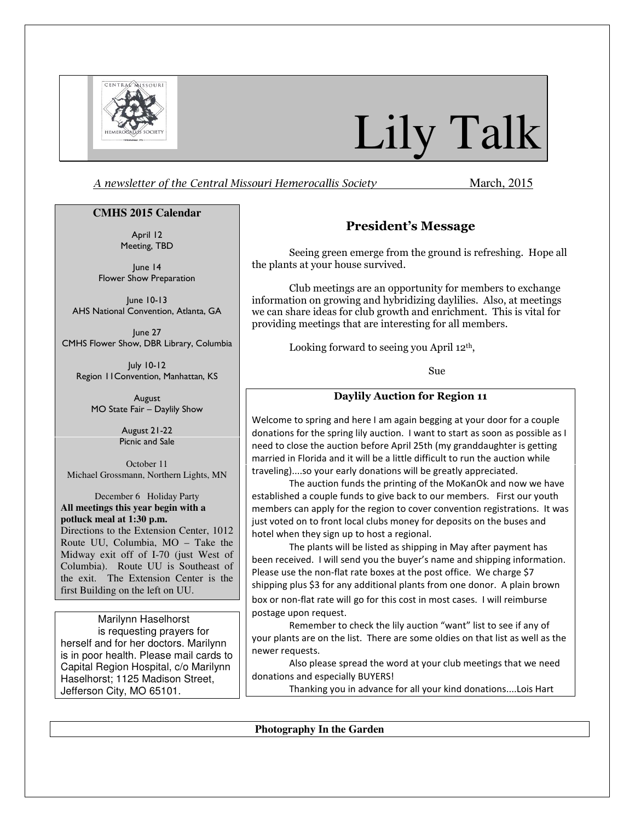

# Lily Talk

A newsletter of the Central Missouri Hemerocallis Society March, 2015

### **CMHS 2015 Calendar**

April 12 Meeting, TBD

June 14 Flower Show Preparation

June 10-13 AHS National Convention, Atlanta, GA

June 27 CMHS Flower Show, DBR Library, Columbia

July 10-12 Region 11Convention, Manhattan, KS

August MO State Fair – Daylily Show

> August 21-22 Picnic and Sale

October 11 Michael Grossmann, Northern Lights, MN

December 6 Holiday Party **All meetings this year begin with a potluck meal at 1:30 p.m.**  Directions to the Extension Center, 1012

Route UU, Columbia, MO – Take the Midway exit off of I-70 (just West of Columbia). Route UU is Southeast of the exit. The Extension Center is the first Building on the left on UU.

Marilynn Haselhorst is requesting prayers for herself and for her doctors. Marilynn is in poor health. Please mail cards to Capital Region Hospital, c/o Marilynn Haselhorst; 1125 Madison Street, Jefferson City, MO 65101.

# President's Message

Seeing green emerge from the ground is refreshing. Hope all the plants at your house survived.

Club meetings are an opportunity for members to exchange information on growing and hybridizing daylilies. Also, at meetings we can share ideas for club growth and enrichment. This is vital for providing meetings that are interesting for all members.

Looking forward to seeing you April 12th,

Sue

### Daylily Auction for Region 11

Welcome to spring and here I am again begging at your door for a couple donations for the spring lily auction. I want to start as soon as possible as I need to close the auction before April 25th (my granddaughter is getting married in Florida and it will be a little difficult to run the auction while traveling)....so your early donations will be greatly appreciated.

The auction funds the printing of the MoKanOk and now we have established a couple funds to give back to our members. First our youth members can apply for the region to cover convention registrations. It was just voted on to front local clubs money for deposits on the buses and hotel when they sign up to host a regional.

The plants will be listed as shipping in May after payment has been received. I will send you the buyer's name and shipping information. Please use the non-flat rate boxes at the post office. We charge \$7 shipping plus \$3 for any additional plants from one donor. A plain brown box or non-flat rate will go for this cost in most cases. I will reimburse postage upon request.

Remember to check the lily auction "want" list to see if any of your plants are on the list. There are some oldies on that list as well as the newer requests.

Also please spread the word at your club meetings that we need donations and especially BUYERS!

Thanking you in advance for all your kind donations....Lois Hart

**Photography In the Garden**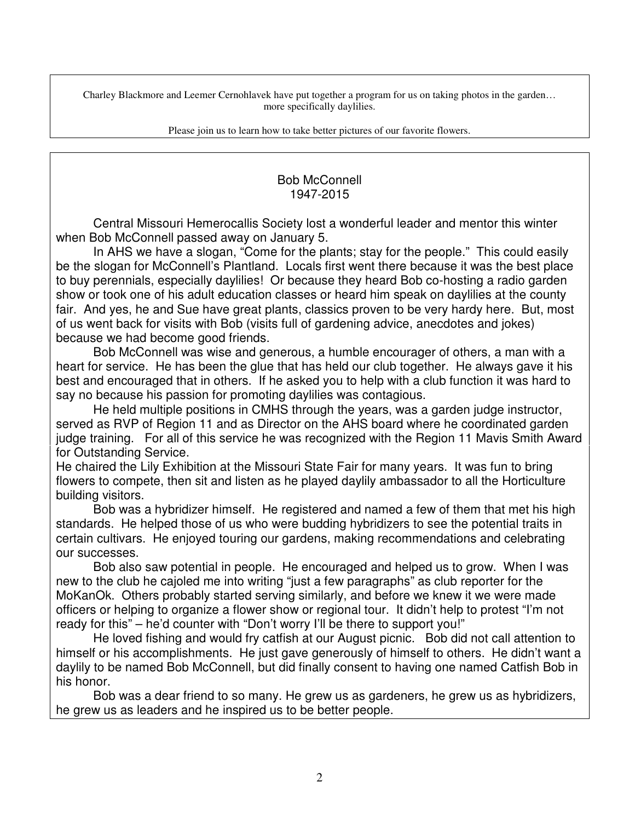Charley Blackmore and Leemer Cernohlavek have put together a program for us on taking photos in the garden… more specifically daylilies.

Please join us to learn how to take better pictures of our favorite flowers.

# Bob McConnell 1947-2015

Central Missouri Hemerocallis Society lost a wonderful leader and mentor this winter when Bob McConnell passed away on January 5.

In AHS we have a slogan, "Come for the plants; stay for the people." This could easily be the slogan for McConnell's Plantland. Locals first went there because it was the best place to buy perennials, especially daylilies! Or because they heard Bob co-hosting a radio garden show or took one of his adult education classes or heard him speak on daylilies at the county fair. And yes, he and Sue have great plants, classics proven to be very hardy here. But, most of us went back for visits with Bob (visits full of gardening advice, anecdotes and jokes) because we had become good friends.

Bob McConnell was wise and generous, a humble encourager of others, a man with a heart for service. He has been the glue that has held our club together. He always gave it his best and encouraged that in others. If he asked you to help with a club function it was hard to say no because his passion for promoting daylilies was contagious.

He held multiple positions in CMHS through the years, was a garden judge instructor, served as RVP of Region 11 and as Director on the AHS board where he coordinated garden judge training. For all of this service he was recognized with the Region 11 Mavis Smith Award for Outstanding Service.

He chaired the Lily Exhibition at the Missouri State Fair for many years. It was fun to bring flowers to compete, then sit and listen as he played daylily ambassador to all the Horticulture building visitors.

Bob was a hybridizer himself. He registered and named a few of them that met his high standards. He helped those of us who were budding hybridizers to see the potential traits in certain cultivars. He enjoyed touring our gardens, making recommendations and celebrating our successes.

Bob also saw potential in people. He encouraged and helped us to grow. When I was new to the club he cajoled me into writing "just a few paragraphs" as club reporter for the MoKanOk. Others probably started serving similarly, and before we knew it we were made officers or helping to organize a flower show or regional tour. It didn't help to protest "I'm not ready for this" – he'd counter with "Don't worry I'll be there to support you!"

He loved fishing and would fry catfish at our August picnic. Bob did not call attention to himself or his accomplishments. He just gave generously of himself to others. He didn't want a daylily to be named Bob McConnell, but did finally consent to having one named Catfish Bob in his honor.

Bob was a dear friend to so many. He grew us as gardeners, he grew us as hybridizers, he grew us as leaders and he inspired us to be better people.